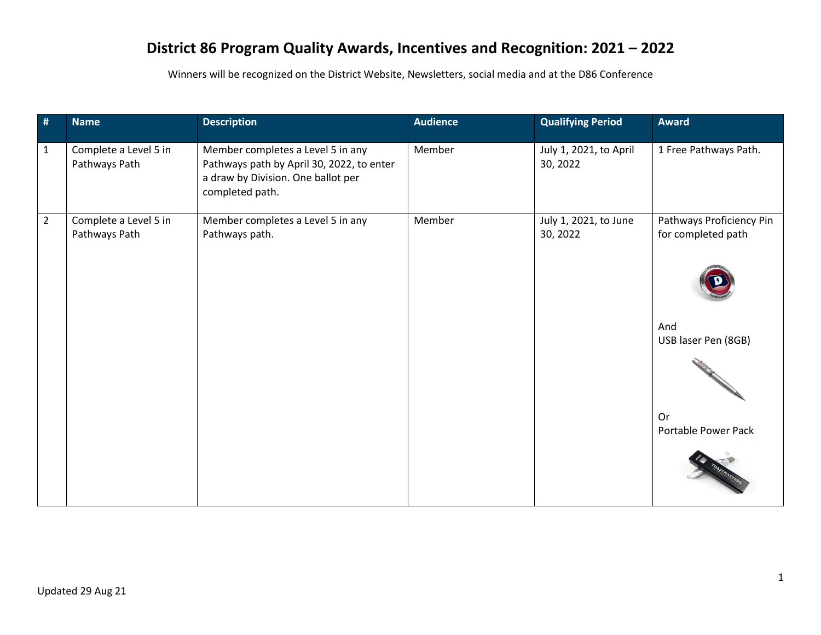## **District 86 Program Quality Awards, Incentives and Recognition: 2021 – 2022**

Winners will be recognized on the District Website, Newsletters, social media and at the D86 Conference

| #              | <b>Name</b>                            | <b>Description</b>                                                                                                                      | <b>Audience</b> | <b>Qualifying Period</b>           | <b>Award</b>                                   |
|----------------|----------------------------------------|-----------------------------------------------------------------------------------------------------------------------------------------|-----------------|------------------------------------|------------------------------------------------|
| $\mathbf{1}$   | Complete a Level 5 in<br>Pathways Path | Member completes a Level 5 in any<br>Pathways path by April 30, 2022, to enter<br>a draw by Division. One ballot per<br>completed path. | Member          | July 1, 2021, to April<br>30, 2022 | 1 Free Pathways Path.                          |
| $\overline{2}$ | Complete a Level 5 in<br>Pathways Path | Member completes a Level 5 in any<br>Pathways path.                                                                                     | Member          | July 1, 2021, to June<br>30, 2022  | Pathways Proficiency Pin<br>for completed path |
|                |                                        |                                                                                                                                         |                 |                                    | And<br>USB laser Pen (8GB)                     |
|                |                                        |                                                                                                                                         |                 |                                    | Or<br>Portable Power Pack                      |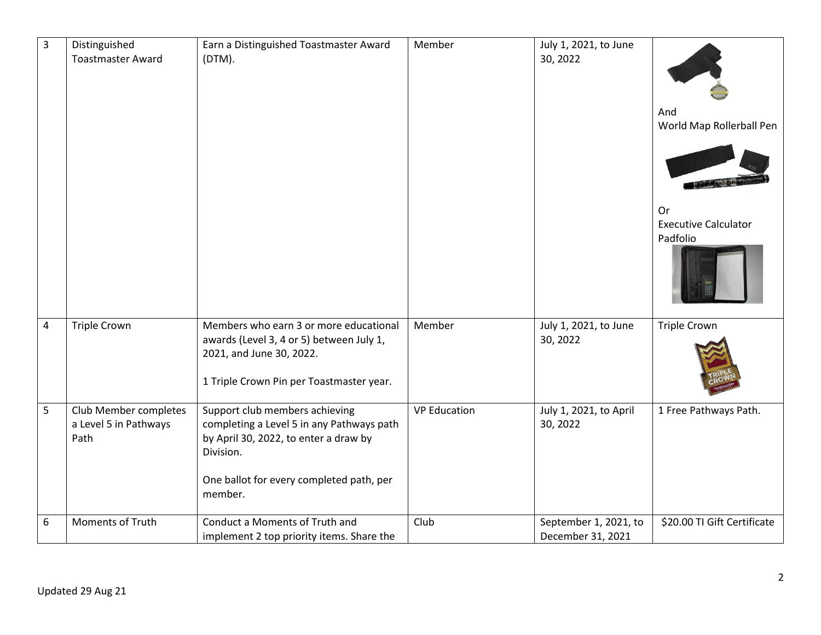| $\overline{3}$ | Distinguished<br><b>Toastmaster Award</b>              | Earn a Distinguished Toastmaster Award<br>(DTM).                                                                                                                                         | Member              | July 1, 2021, to June<br>30, 2022          | And<br>World Map Rollerball Pen<br>Or<br><b>Executive Calculator</b><br>Padfolio |
|----------------|--------------------------------------------------------|------------------------------------------------------------------------------------------------------------------------------------------------------------------------------------------|---------------------|--------------------------------------------|----------------------------------------------------------------------------------|
| $\overline{4}$ | <b>Triple Crown</b>                                    | Members who earn 3 or more educational                                                                                                                                                   | Member              | July 1, 2021, to June                      | <b>Triple Crown</b>                                                              |
|                |                                                        | awards (Level 3, 4 or 5) between July 1,<br>2021, and June 30, 2022.<br>1 Triple Crown Pin per Toastmaster year.                                                                         |                     | 30, 2022                                   |                                                                                  |
| 5              | Club Member completes<br>a Level 5 in Pathways<br>Path | Support club members achieving<br>completing a Level 5 in any Pathways path<br>by April 30, 2022, to enter a draw by<br>Division.<br>One ballot for every completed path, per<br>member. | <b>VP Education</b> | July 1, 2021, to April<br>30, 2022         | 1 Free Pathways Path.                                                            |
| 6              | Moments of Truth                                       | Conduct a Moments of Truth and<br>implement 2 top priority items. Share the                                                                                                              | Club                | September 1, 2021, to<br>December 31, 2021 | \$20.00 TI Gift Certificate                                                      |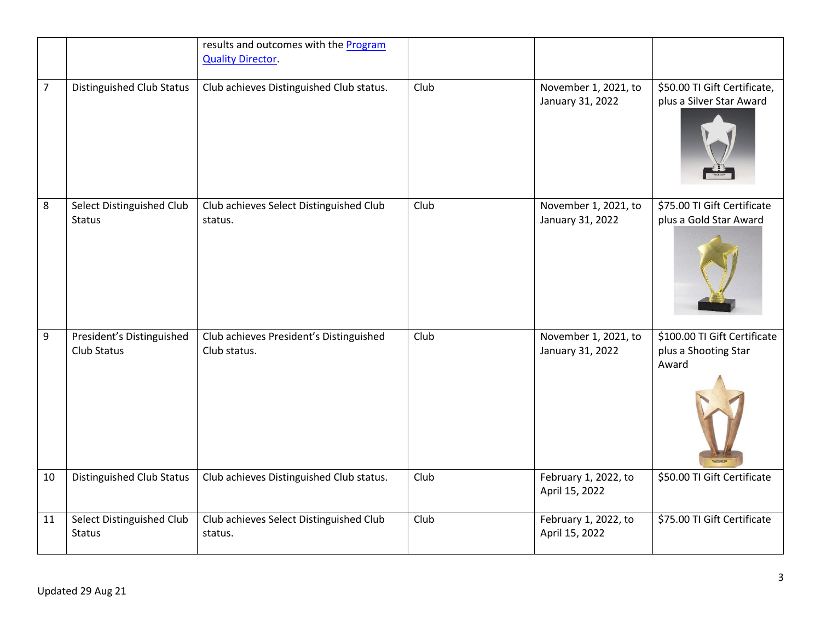|                |                                            | results and outcomes with the <b>Program</b><br><b>Quality Director.</b> |      |                                          |                                                               |
|----------------|--------------------------------------------|--------------------------------------------------------------------------|------|------------------------------------------|---------------------------------------------------------------|
| $\overline{7}$ | <b>Distinguished Club Status</b>           | Club achieves Distinguished Club status.                                 | Club | November 1, 2021, to<br>January 31, 2022 | \$50.00 TI Gift Certificate,<br>plus a Silver Star Award      |
| 8              | Select Distinguished Club<br>Status        | Club achieves Select Distinguished Club<br>status.                       | Club | November 1, 2021, to<br>January 31, 2022 | \$75.00 TI Gift Certificate<br>plus a Gold Star Award         |
| 9              | President's Distinguished<br>Club Status   | Club achieves President's Distinguished<br>Club status.                  | Club | November 1, 2021, to<br>January 31, 2022 | \$100.00 TI Gift Certificate<br>plus a Shooting Star<br>Award |
| 10             | <b>Distinguished Club Status</b>           | Club achieves Distinguished Club status.                                 | Club | February 1, 2022, to<br>April 15, 2022   | \$50.00 TI Gift Certificate                                   |
| 11             | Select Distinguished Club<br><b>Status</b> | Club achieves Select Distinguished Club<br>status.                       | Club | February 1, 2022, to<br>April 15, 2022   | \$75.00 TI Gift Certificate                                   |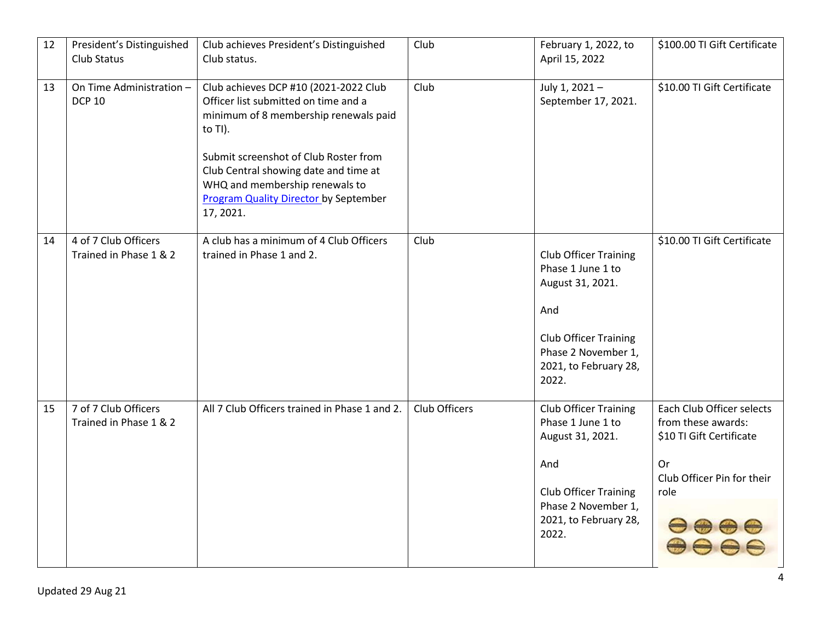| 12 | President's Distinguished<br>Club Status       | Club achieves President's Distinguished<br>Club status.                                                                                                                                                                                                                                                            | Club          | February 1, 2022, to<br>April 15, 2022                                                                                                                                | \$100.00 TI Gift Certificate                                                                                            |
|----|------------------------------------------------|--------------------------------------------------------------------------------------------------------------------------------------------------------------------------------------------------------------------------------------------------------------------------------------------------------------------|---------------|-----------------------------------------------------------------------------------------------------------------------------------------------------------------------|-------------------------------------------------------------------------------------------------------------------------|
| 13 | On Time Administration -<br><b>DCP 10</b>      | Club achieves DCP #10 (2021-2022 Club<br>Officer list submitted on time and a<br>minimum of 8 membership renewals paid<br>to TI).<br>Submit screenshot of Club Roster from<br>Club Central showing date and time at<br>WHQ and membership renewals to<br><b>Program Quality Director by September</b><br>17, 2021. | Club          | July 1, 2021-<br>September 17, 2021.                                                                                                                                  | \$10.00 TI Gift Certificate                                                                                             |
| 14 | 4 of 7 Club Officers<br>Trained in Phase 1 & 2 | A club has a minimum of 4 Club Officers<br>trained in Phase 1 and 2.                                                                                                                                                                                                                                               | Club          | Club Officer Training<br>Phase 1 June 1 to<br>August 31, 2021.<br>And<br><b>Club Officer Training</b><br>Phase 2 November 1,<br>2021, to February 28,<br>2022.        | \$10.00 TI Gift Certificate                                                                                             |
| 15 | 7 of 7 Club Officers<br>Trained in Phase 1 & 2 | All 7 Club Officers trained in Phase 1 and 2.                                                                                                                                                                                                                                                                      | Club Officers | <b>Club Officer Training</b><br>Phase 1 June 1 to<br>August 31, 2021.<br>And<br><b>Club Officer Training</b><br>Phase 2 November 1,<br>2021, to February 28,<br>2022. | Each Club Officer selects<br>from these awards:<br>\$10 TI Gift Certificate<br>Or<br>Club Officer Pin for their<br>role |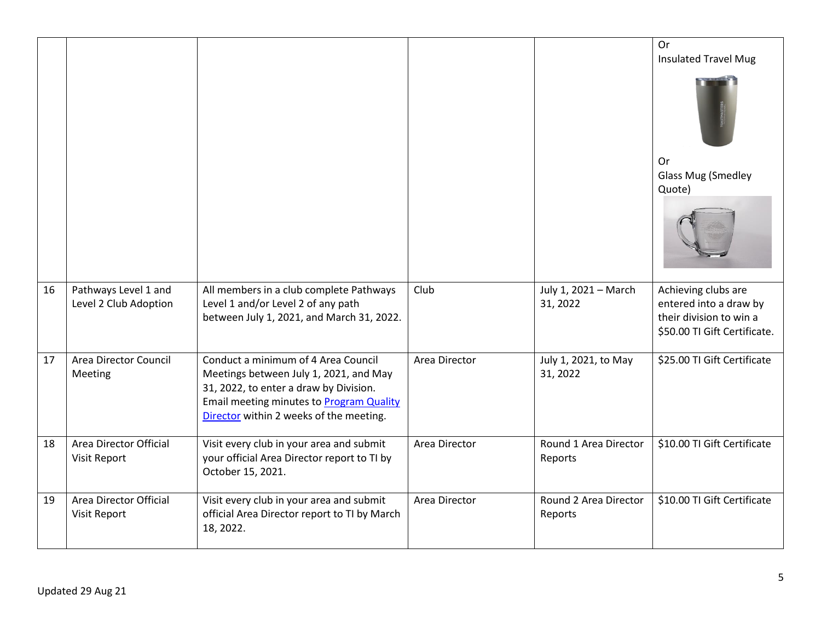|    |                                               |                                                                                                                                                                                                                |               |                                  | Or<br><b>Insulated Travel Mug</b>                                                                        |
|----|-----------------------------------------------|----------------------------------------------------------------------------------------------------------------------------------------------------------------------------------------------------------------|---------------|----------------------------------|----------------------------------------------------------------------------------------------------------|
|    |                                               |                                                                                                                                                                                                                |               |                                  |                                                                                                          |
|    |                                               |                                                                                                                                                                                                                |               |                                  | 0r<br><b>Glass Mug (Smedley</b>                                                                          |
|    |                                               |                                                                                                                                                                                                                |               |                                  | Quote)                                                                                                   |
|    |                                               |                                                                                                                                                                                                                |               |                                  |                                                                                                          |
| 16 | Pathways Level 1 and<br>Level 2 Club Adoption | All members in a club complete Pathways<br>Level 1 and/or Level 2 of any path<br>between July 1, 2021, and March 31, 2022.                                                                                     | Club          | July 1, 2021 - March<br>31, 2022 | Achieving clubs are<br>entered into a draw by<br>their division to win a<br>\$50.00 TI Gift Certificate. |
| 17 | Area Director Council<br>Meeting              | Conduct a minimum of 4 Area Council<br>Meetings between July 1, 2021, and May<br>31, 2022, to enter a draw by Division.<br>Email meeting minutes to Program Quality<br>Director within 2 weeks of the meeting. | Area Director | July 1, 2021, to May<br>31, 2022 | \$25.00 TI Gift Certificate                                                                              |
| 18 | Area Director Official<br>Visit Report        | Visit every club in your area and submit<br>your official Area Director report to TI by<br>October 15, 2021.                                                                                                   | Area Director | Round 1 Area Director<br>Reports | \$10.00 TI Gift Certificate                                                                              |
| 19 | Area Director Official<br>Visit Report        | Visit every club in your area and submit<br>official Area Director report to TI by March<br>18, 2022.                                                                                                          | Area Director | Round 2 Area Director<br>Reports | \$10.00 TI Gift Certificate                                                                              |
|    |                                               |                                                                                                                                                                                                                |               |                                  |                                                                                                          |